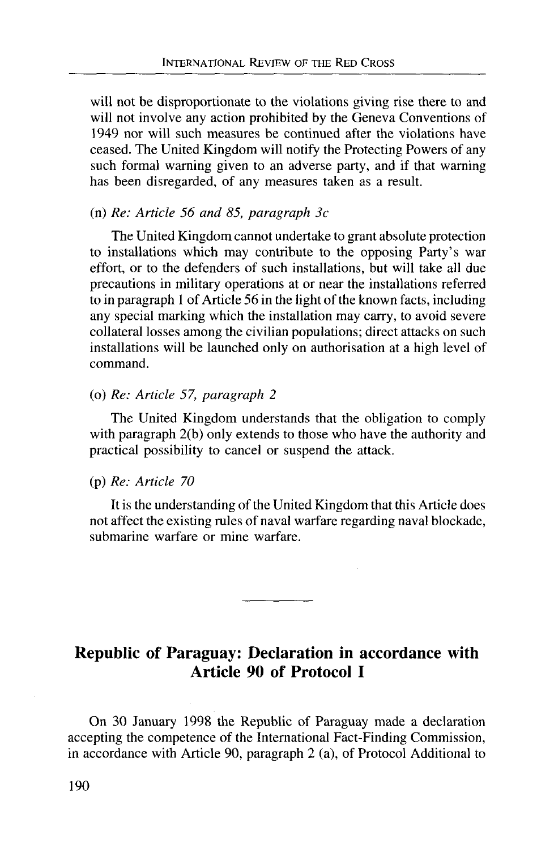will not be disproportionate to the violations giving rise there to and will not involve any action prohibited by the Geneva Conventions of 1949 nor will such measures be continued after the violations have ceased. The United Kingdom will notify the Protecting Powers of any such formal warning given to an adverse party, and if that warning has been disregarded, of any measures taken as a result.

### (n) *Re: Article 56 and 85, paragraph 3c*

The United Kingdom cannot undertake to grant absolute protection to installations which may contribute to the opposing Party's war effort, or to the defenders of such installations, but will take all due precautions in military operations at or near the installations referred to in paragraph 1 of Article 56 in the light of the known facts, including any special marking which the installation may carry, to avoid severe collateral losses among the civilian populations; direct attacks on such installations will be launched only on authorisation at a high level of command.

### (o) *Re: Article 57, paragraph 2*

The United Kingdom understands that the obligation to comply with paragraph 2(b) only extends to those who have the authority and practical possibility to cancel or suspend the attack.

#### (p) *Re: Article 70*

It is the understanding of the United Kingdom that this Article does not affect the existing rules of naval warfare regarding naval blockade, submarine warfare or mine warfare.

# Republic of Paraguay: Declaration in accordance with Article 90 of Protocol I

On 30 January 1998 the Republic of Paraguay made a declaration accepting the competence of the International Fact-Finding Commission, in accordance with Article 90, paragraph 2 (a), of Protocol Additional to